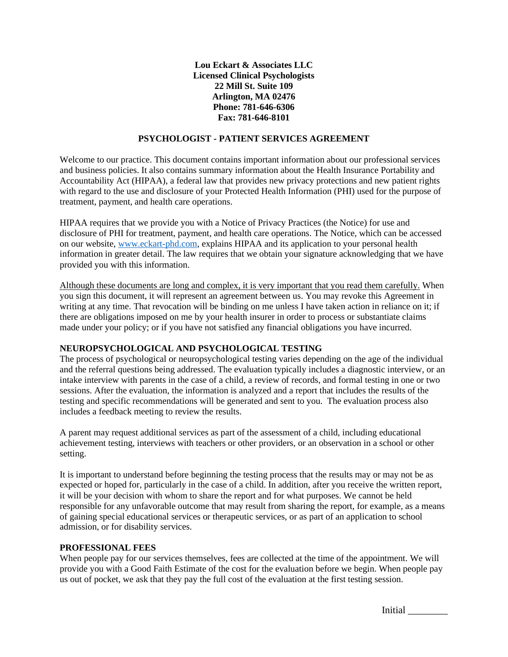**Lou Eckart & Associates LLC Licensed Clinical Psychologists 22 Mill St. Suite 109 Arlington, MA 02476 Phone: 781-646-6306 Fax: 781-646-8101**

#### **PSYCHOLOGIST - PATIENT SERVICES AGREEMENT**

Welcome to our practice. This document contains important information about our professional services and business policies. It also contains summary information about the Health Insurance Portability and Accountability Act (HIPAA), a federal law that provides new privacy protections and new patient rights with regard to the use and disclosure of your Protected Health Information (PHI) used for the purpose of treatment, payment, and health care operations.

HIPAA requires that we provide you with a Notice of Privacy Practices (the Notice) for use and disclosure of PHI for treatment, payment, and health care operations. The Notice, which can be accessed on our website, [www.eckart-phd.com,](http://www.eckart-phd.com/) explains HIPAA and its application to your personal health information in greater detail. The law requires that we obtain your signature acknowledging that we have provided you with this information.

Although these documents are long and complex, it is very important that you read them carefully. When you sign this document, it will represent an agreement between us. You may revoke this Agreement in writing at any time. That revocation will be binding on me unless I have taken action in reliance on it; if there are obligations imposed on me by your health insurer in order to process or substantiate claims made under your policy; or if you have not satisfied any financial obligations you have incurred.

## **NEUROPSYCHOLOGICAL AND PSYCHOLOGICAL TESTING**

The process of psychological or neuropsychological testing varies depending on the age of the individual and the referral questions being addressed. The evaluation typically includes a diagnostic interview, or an intake interview with parents in the case of a child, a review of records, and formal testing in one or two sessions. After the evaluation, the information is analyzed and a report that includes the results of the testing and specific recommendations will be generated and sent to you. The evaluation process also includes a feedback meeting to review the results.

A parent may request additional services as part of the assessment of a child, including educational achievement testing, interviews with teachers or other providers, or an observation in a school or other setting.

It is important to understand before beginning the testing process that the results may or may not be as expected or hoped for, particularly in the case of a child. In addition, after you receive the written report, it will be your decision with whom to share the report and for what purposes. We cannot be held responsible for any unfavorable outcome that may result from sharing the report, for example, as a means of gaining special educational services or therapeutic services, or as part of an application to school admission, or for disability services.

#### **PROFESSIONAL FEES**

When people pay for our services themselves, fees are collected at the time of the appointment. We will provide you with a Good Faith Estimate of the cost for the evaluation before we begin. When people pay us out of pocket, we ask that they pay the full cost of the evaluation at the first testing session.

Initial \_\_\_\_\_\_\_\_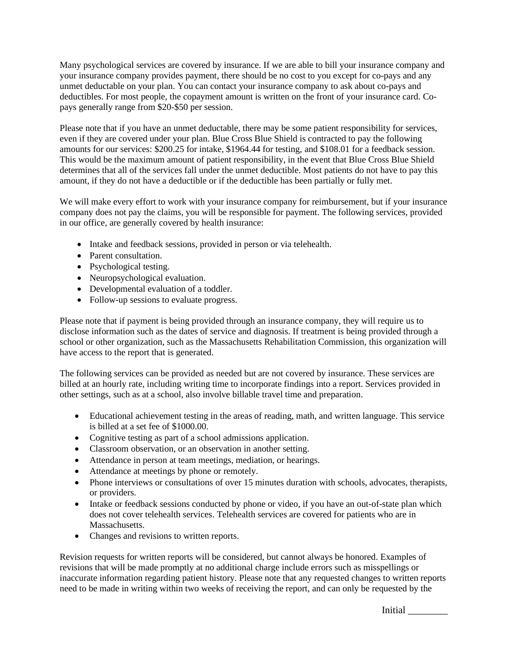Many psychological services are covered by insurance. If we are able to bill your insurance company and your insurance company provides payment, there should be no cost to you except for co-pays and any unmet deductable on your plan. You can contact your insurance company to ask about co-pays and deductibles. For most people, the copayment amount is written on the front of your insurance card. Copays generally range from \$20-\$50 per session.

Please note that if you have an unmet deductable, there may be some patient responsibility for services, even if they are covered under your plan. Blue Cross Blue Shield is contracted to pay the following amounts for our services: \$200.25 for intake, \$1964.44 for testing, and \$108.01 for a feedback session. This would be the maximum amount of patient responsibility, in the event that Blue Cross Blue Shield determines that all of the services fall under the unmet deductible. Most patients do not have to pay this amount, if they do not have a deductible or if the deductible has been partially or fully met.

We will make every effort to work with your insurance company for reimbursement, but if your insurance company does not pay the claims, you will be responsible for payment. The following services, provided in our office, are generally covered by health insurance:

- Intake and feedback sessions, provided in person or via telehealth.
- Parent consultation.
- Psychological testing.
- Neuropsychological evaluation.
- Developmental evaluation of a toddler.
- Follow-up sessions to evaluate progress.

Please note that if payment is being provided through an insurance company, they will require us to disclose information such as the dates of service and diagnosis. If treatment is being provided through a school or other organization, such as the Massachusetts Rehabilitation Commission, this organization will have access to the report that is generated.

The following services can be provided as needed but are not covered by insurance. These services are billed at an hourly rate, including writing time to incorporate findings into a report. Services provided in other settings, such as at a school, also involve billable travel time and preparation.

- Educational achievement testing in the areas of reading, math, and written language. This service is billed at a set fee of \$1000.00.
- Cognitive testing as part of a school admissions application.
- Classroom observation, or an observation in another setting.
- Attendance in person at team meetings, mediation, or hearings.
- Attendance at meetings by phone or remotely.
- Phone interviews or consultations of over 15 minutes duration with schools, advocates, therapists, or providers.
- Intake or feedback sessions conducted by phone or video, if you have an out-of-state plan which does not cover telehealth services. Telehealth services are covered for patients who are in Massachusetts.
- Changes and revisions to written reports.

Revision requests for written reports will be considered, but cannot always be honored. Examples of revisions that will be made promptly at no additional charge include errors such as misspellings or inaccurate information regarding patient history. Please note that any requested changes to written reports need to be made in writing within two weeks of receiving the report, and can only be requested by the

Initial \_\_\_\_\_\_\_\_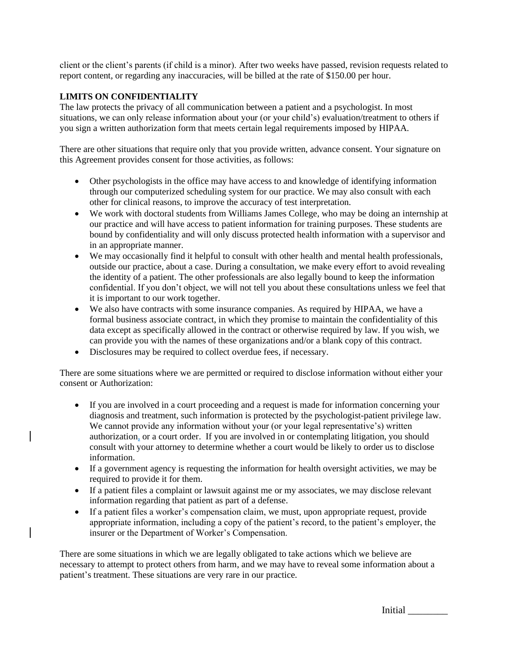client or the client's parents (if child is a minor). After two weeks have passed, revision requests related to report content, or regarding any inaccuracies, will be billed at the rate of \$150.00 per hour.

### **LIMITS ON CONFIDENTIALITY**

The law protects the privacy of all communication between a patient and a psychologist. In most situations, we can only release information about your (or your child's) evaluation/treatment to others if you sign a written authorization form that meets certain legal requirements imposed by HIPAA.

There are other situations that require only that you provide written, advance consent. Your signature on this Agreement provides consent for those activities, as follows:

- Other psychologists in the office may have access to and knowledge of identifying information through our computerized scheduling system for our practice. We may also consult with each other for clinical reasons, to improve the accuracy of test interpretation.
- We work with doctoral students from Williams James College, who may be doing an internship at our practice and will have access to patient information for training purposes. These students are bound by confidentiality and will only discuss protected health information with a supervisor and in an appropriate manner.
- We may occasionally find it helpful to consult with other health and mental health professionals, outside our practice, about a case. During a consultation, we make every effort to avoid revealing the identity of a patient. The other professionals are also legally bound to keep the information confidential. If you don't object, we will not tell you about these consultations unless we feel that it is important to our work together.
- We also have contracts with some insurance companies. As required by HIPAA, we have a formal business associate contract, in which they promise to maintain the confidentiality of this data except as specifically allowed in the contract or otherwise required by law. If you wish, we can provide you with the names of these organizations and/or a blank copy of this contract.
- Disclosures may be required to collect overdue fees, if necessary.

There are some situations where we are permitted or required to disclose information without either your consent or Authorization:

- If you are involved in a court proceeding and a request is made for information concerning your diagnosis and treatment, such information is protected by the psychologist-patient privilege law. We cannot provide any information without your (or your legal representative's) written authorization, or a court order. If you are involved in or contemplating litigation, you should consult with your attorney to determine whether a court would be likely to order us to disclose information.
- If a government agency is requesting the information for health oversight activities, we may be required to provide it for them.
- If a patient files a complaint or lawsuit against me or my associates, we may disclose relevant information regarding that patient as part of a defense.
- If a patient files a worker's compensation claim, we must, upon appropriate request, provide appropriate information, including a copy of the patient's record, to the patient's employer, the insurer or the Department of Worker's Compensation.

There are some situations in which we are legally obligated to take actions which we believe are necessary to attempt to protect others from harm, and we may have to reveal some information about a patient's treatment. These situations are very rare in our practice.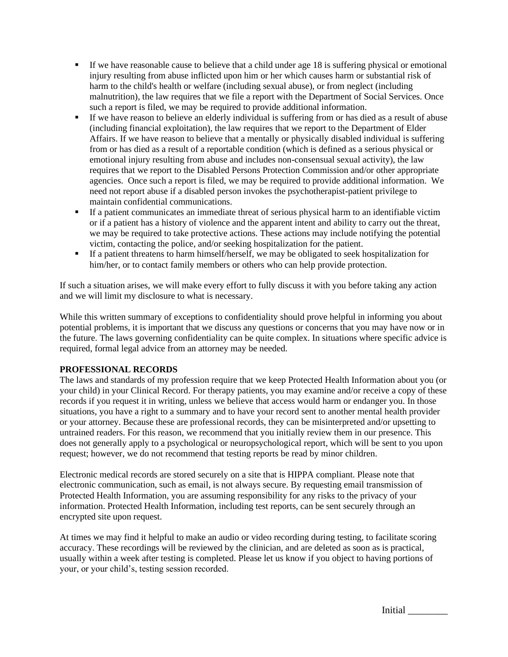- If we have reasonable cause to believe that a child under age 18 is suffering physical or emotional injury resulting from abuse inflicted upon him or her which causes harm or substantial risk of harm to the child's health or welfare (including sexual abuse), or from neglect (including malnutrition), the law requires that we file a report with the Department of Social Services. Once such a report is filed, we may be required to provide additional information.
- If we have reason to believe an elderly individual is suffering from or has died as a result of abuse (including financial exploitation), the law requires that we report to the Department of Elder Affairs. If we have reason to believe that a mentally or physically disabled individual is suffering from or has died as a result of a reportable condition (which is defined as a serious physical or emotional injury resulting from abuse and includes non-consensual sexual activity), the law requires that we report to the Disabled Persons Protection Commission and/or other appropriate agencies. Once such a report is filed, we may be required to provide additional information. We need not report abuse if a disabled person invokes the psychotherapist-patient privilege to maintain confidential communications.
- **•** If a patient communicates an immediate threat of serious physical harm to an identifiable victim or if a patient has a history of violence and the apparent intent and ability to carry out the threat, we may be required to take protective actions. These actions may include notifying the potential victim, contacting the police, and/or seeking hospitalization for the patient.
- If a patient threatens to harm himself/herself, we may be obligated to seek hospitalization for him/her, or to contact family members or others who can help provide protection.

If such a situation arises, we will make every effort to fully discuss it with you before taking any action and we will limit my disclosure to what is necessary.

While this written summary of exceptions to confidentiality should prove helpful in informing you about potential problems, it is important that we discuss any questions or concerns that you may have now or in the future. The laws governing confidentiality can be quite complex. In situations where specific advice is required, formal legal advice from an attorney may be needed.

## **PROFESSIONAL RECORDS**

The laws and standards of my profession require that we keep Protected Health Information about you (or your child) in your Clinical Record. For therapy patients, you may examine and/or receive a copy of these records if you request it in writing, unless we believe that access would harm or endanger you. In those situations, you have a right to a summary and to have your record sent to another mental health provider or your attorney. Because these are professional records, they can be misinterpreted and/or upsetting to untrained readers. For this reason, we recommend that you initially review them in our presence. This does not generally apply to a psychological or neuropsychological report, which will be sent to you upon request; however, we do not recommend that testing reports be read by minor children.

Electronic medical records are stored securely on a site that is HIPPA compliant. Please note that electronic communication, such as email, is not always secure. By requesting email transmission of Protected Health Information, you are assuming responsibility for any risks to the privacy of your information. Protected Health Information, including test reports, can be sent securely through an encrypted site upon request.

At times we may find it helpful to make an audio or video recording during testing, to facilitate scoring accuracy. These recordings will be reviewed by the clinician, and are deleted as soon as is practical, usually within a week after testing is completed. Please let us know if you object to having portions of your, or your child's, testing session recorded.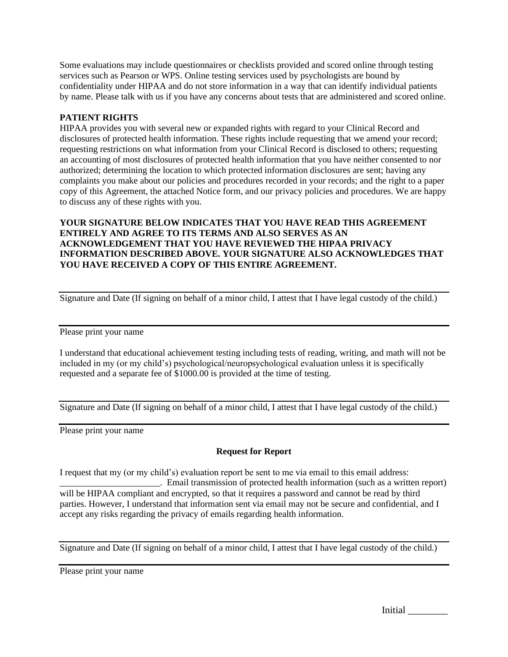Some evaluations may include questionnaires or checklists provided and scored online through testing services such as Pearson or WPS. Online testing services used by psychologists are bound by confidentiality under HIPAA and do not store information in a way that can identify individual patients by name. Please talk with us if you have any concerns about tests that are administered and scored online.

### **PATIENT RIGHTS**

HIPAA provides you with several new or expanded rights with regard to your Clinical Record and disclosures of protected health information. These rights include requesting that we amend your record; requesting restrictions on what information from your Clinical Record is disclosed to others; requesting an accounting of most disclosures of protected health information that you have neither consented to nor authorized; determining the location to which protected information disclosures are sent; having any complaints you make about our policies and procedures recorded in your records; and the right to a paper copy of this Agreement, the attached Notice form, and our privacy policies and procedures. We are happy to discuss any of these rights with you.

**YOUR SIGNATURE BELOW INDICATES THAT YOU HAVE READ THIS AGREEMENT ENTIRELY AND AGREE TO ITS TERMS AND ALSO SERVES AS AN ACKNOWLEDGEMENT THAT YOU HAVE REVIEWED THE HIPAA PRIVACY INFORMATION DESCRIBED ABOVE. YOUR SIGNATURE ALSO ACKNOWLEDGES THAT YOU HAVE RECEIVED A COPY OF THIS ENTIRE AGREEMENT.** 

Signature and Date (If signing on behalf of a minor child, I attest that I have legal custody of the child.)

Please print your name

I understand that educational achievement testing including tests of reading, writing, and math will not be included in my (or my child's) psychological/neuropsychological evaluation unless it is specifically requested and a separate fee of \$1000.00 is provided at the time of testing.

Signature and Date (If signing on behalf of a minor child, I attest that I have legal custody of the child.)

Please print your name

#### **Request for Report**

I request that my (or my child's) evaluation report be sent to me via email to this email address:

\_\_\_\_\_\_\_\_\_\_\_\_\_\_\_\_\_\_\_\_\_\_. Email transmission of protected health information (such as a written report) will be HIPAA compliant and encrypted, so that it requires a password and cannot be read by third parties. However, I understand that information sent via email may not be secure and confidential, and I accept any risks regarding the privacy of emails regarding health information.

Signature and Date (If signing on behalf of a minor child, I attest that I have legal custody of the child.)

Please print your name

Initial \_\_\_\_\_\_\_\_